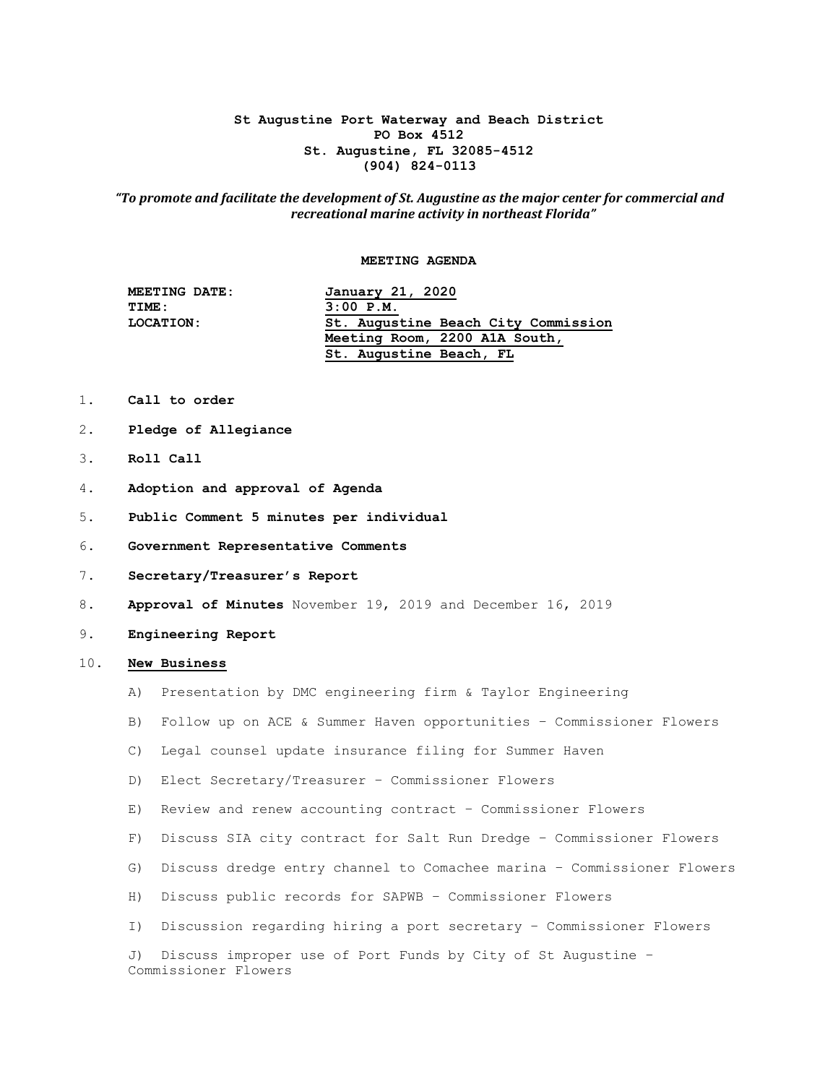## **St Augustine Port Waterway and Beach District PO Box 4512 St. Augustine, FL 32085-4512 (904) 824-0113**

## *"To promote and facilitate the development of St. Augustine as the major center for commercial and recreational marine activity in northeast Florida"*

#### **MEETING AGENDA**

| <b>MEETING DATE:</b> | January 21, 2020                    |
|----------------------|-------------------------------------|
| TIME:                | $3:00$ P.M.                         |
| LOCATION:            | St. Augustine Beach City Commission |
|                      | Meeting Room, 2200 A1A South,       |
|                      | St. Augustine Beach, FL             |
|                      |                                     |

- 1. **Call to order**
- 2. **Pledge of Allegiance**
- 3. **Roll Call**
- 4. **Adoption and approval of Agenda**
- 5. **Public Comment 5 minutes per individual**
- 6. **Government Representative Comments**
- 7. **Secretary/Treasurer's Report**
- 8. **Approval of Minutes** November 19, 2019 and December 16, 2019
- 9. **Engineering Report**

## 10. **New Business**

- A) Presentation by DMC engineering firm & Taylor Engineering
- B) Follow up on ACE & Summer Haven opportunities Commissioner Flowers
- C) Legal counsel update insurance filing for Summer Haven
- D) Elect Secretary/Treasurer Commissioner Flowers
- E) Review and renew accounting contract Commissioner Flowers
- F) Discuss SIA city contract for Salt Run Dredge Commissioner Flowers
- G) Discuss dredge entry channel to Comachee marina Commissioner Flowers
- H) Discuss public records for SAPWB Commissioner Flowers
- I) Discussion regarding hiring a port secretary Commissioner Flowers

 J) Discuss improper use of Port Funds by City of St Augustine – Commissioner Flowers